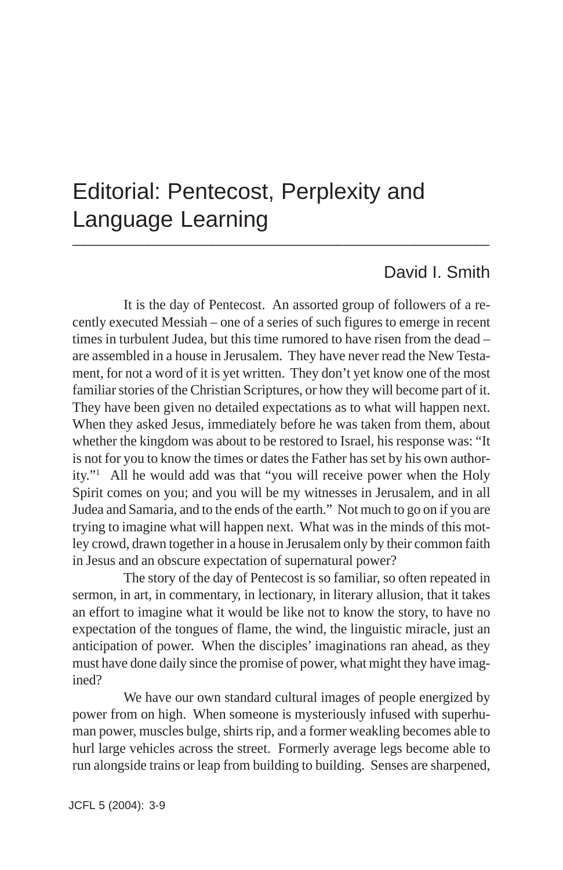## Editorial: Pentecost, Perplexity and Language Learning **\_\_\_\_\_\_\_\_\_\_\_\_\_\_\_\_\_\_\_\_\_\_\_\_\_\_\_\_\_\_\_\_\_**

## David I. Smith

It is the day of Pentecost. An assorted group of followers of a recently executed Messiah – one of a series of such figures to emerge in recent times in turbulent Judea, but this time rumored to have risen from the dead – are assembled in a house in Jerusalem. They have never read the New Testament, for not a word of it is yet written. They don't yet know one of the most familiar stories of the Christian Scriptures, or how they will become part of it. They have been given no detailed expectations as to what will happen next. When they asked Jesus, immediately before he was taken from them, about whether the kingdom was about to be restored to Israel, his response was: "It is not for you to know the times or dates the Father has set by his own authority."1 All he would add was that "you will receive power when the Holy Spirit comes on you; and you will be my witnesses in Jerusalem, and in all Judea and Samaria, and to the ends of the earth." Not much to go on if you are trying to imagine what will happen next. What was in the minds of this motley crowd, drawn together in a house in Jerusalem only by their common faith in Jesus and an obscure expectation of supernatural power?

The story of the day of Pentecost is so familiar, so often repeated in sermon, in art, in commentary, in lectionary, in literary allusion, that it takes an effort to imagine what it would be like not to know the story, to have no expectation of the tongues of flame, the wind, the linguistic miracle, just an anticipation of power. When the disciples' imaginations ran ahead, as they must have done daily since the promise of power, what might they have imagined?

We have our own standard cultural images of people energized by power from on high. When someone is mysteriously infused with superhuman power, muscles bulge, shirts rip, and a former weakling becomes able to hurl large vehicles across the street. Formerly average legs become able to run alongside trains or leap from building to building. Senses are sharpened,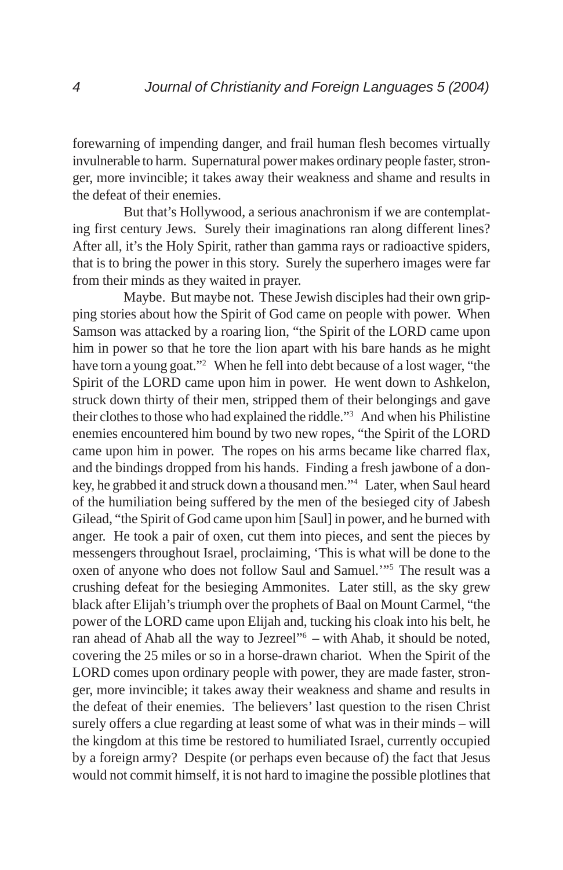forewarning of impending danger, and frail human flesh becomes virtually invulnerable to harm. Supernatural power makes ordinary people faster, stronger, more invincible; it takes away their weakness and shame and results in the defeat of their enemies.

But that's Hollywood, a serious anachronism if we are contemplating first century Jews. Surely their imaginations ran along different lines? After all, it's the Holy Spirit, rather than gamma rays or radioactive spiders, that is to bring the power in this story. Surely the superhero images were far from their minds as they waited in prayer.

Maybe. But maybe not. These Jewish disciples had their own gripping stories about how the Spirit of God came on people with power. When Samson was attacked by a roaring lion, "the Spirit of the LORD came upon him in power so that he tore the lion apart with his bare hands as he might have torn a young goat."<sup>2</sup> When he fell into debt because of a lost wager, "the Spirit of the LORD came upon him in power. He went down to Ashkelon, struck down thirty of their men, stripped them of their belongings and gave their clothes to those who had explained the riddle."3 And when his Philistine enemies encountered him bound by two new ropes, "the Spirit of the LORD came upon him in power. The ropes on his arms became like charred flax, and the bindings dropped from his hands. Finding a fresh jawbone of a donkey, he grabbed it and struck down a thousand men."4 Later, when Saul heard of the humiliation being suffered by the men of the besieged city of Jabesh Gilead, "the Spirit of God came upon him [Saul] in power, and he burned with anger. He took a pair of oxen, cut them into pieces, and sent the pieces by messengers throughout Israel, proclaiming, 'This is what will be done to the oxen of anyone who does not follow Saul and Samuel.'"5 The result was a crushing defeat for the besieging Ammonites. Later still, as the sky grew black after Elijah's triumph over the prophets of Baal on Mount Carmel, "the power of the LORD came upon Elijah and, tucking his cloak into his belt, he ran ahead of Ahab all the way to Jezreel"6 – with Ahab, it should be noted, covering the 25 miles or so in a horse-drawn chariot. When the Spirit of the LORD comes upon ordinary people with power, they are made faster, stronger, more invincible; it takes away their weakness and shame and results in the defeat of their enemies. The believers' last question to the risen Christ surely offers a clue regarding at least some of what was in their minds – will the kingdom at this time be restored to humiliated Israel, currently occupied by a foreign army? Despite (or perhaps even because of) the fact that Jesus would not commit himself, it is not hard to imagine the possible plotlines that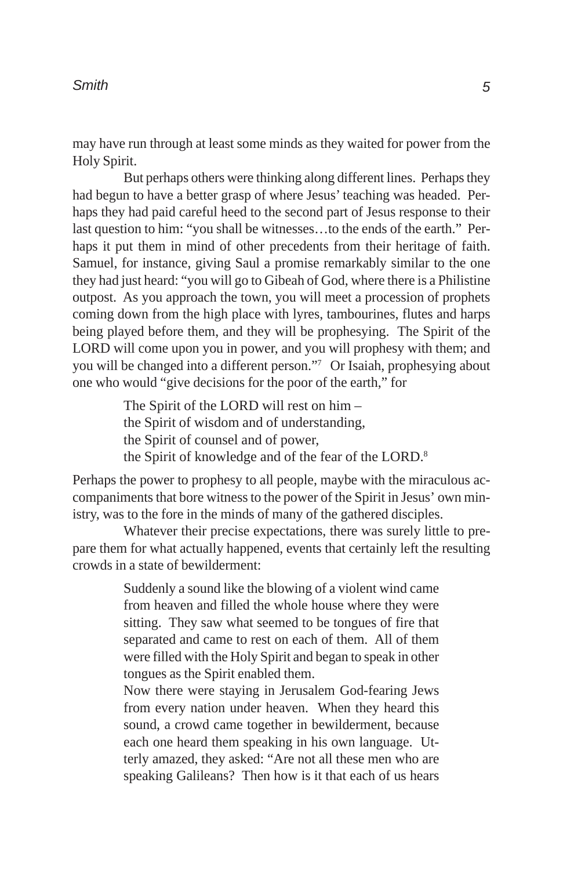may have run through at least some minds as they waited for power from the Holy Spirit.

But perhaps others were thinking along different lines. Perhaps they had begun to have a better grasp of where Jesus' teaching was headed. Perhaps they had paid careful heed to the second part of Jesus response to their last question to him: "you shall be witnesses…to the ends of the earth." Perhaps it put them in mind of other precedents from their heritage of faith. Samuel, for instance, giving Saul a promise remarkably similar to the one they had just heard: "you will go to Gibeah of God, where there is a Philistine outpost. As you approach the town, you will meet a procession of prophets coming down from the high place with lyres, tambourines, flutes and harps being played before them, and they will be prophesying. The Spirit of the LORD will come upon you in power, and you will prophesy with them; and you will be changed into a different person."7 Or Isaiah, prophesying about one who would "give decisions for the poor of the earth," for

> The Spirit of the LORD will rest on him – the Spirit of wisdom and of understanding, the Spirit of counsel and of power, the Spirit of knowledge and of the fear of the LORD.<sup>8</sup>

Perhaps the power to prophesy to all people, maybe with the miraculous accompaniments that bore witness to the power of the Spirit in Jesus' own ministry, was to the fore in the minds of many of the gathered disciples.

Whatever their precise expectations, there was surely little to prepare them for what actually happened, events that certainly left the resulting crowds in a state of bewilderment:

> Suddenly a sound like the blowing of a violent wind came from heaven and filled the whole house where they were sitting. They saw what seemed to be tongues of fire that separated and came to rest on each of them. All of them were filled with the Holy Spirit and began to speak in other tongues as the Spirit enabled them.

> Now there were staying in Jerusalem God-fearing Jews from every nation under heaven. When they heard this sound, a crowd came together in bewilderment, because each one heard them speaking in his own language. Utterly amazed, they asked: "Are not all these men who are speaking Galileans? Then how is it that each of us hears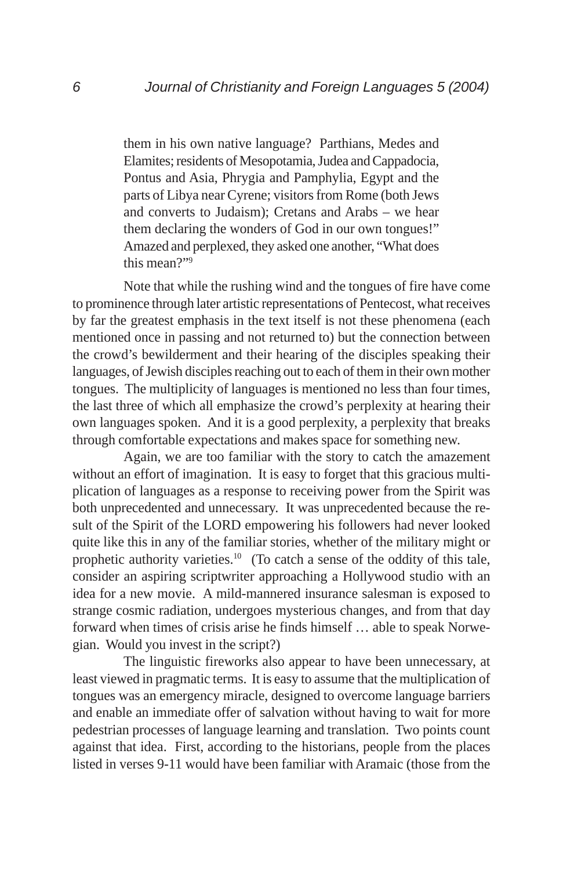them in his own native language? Parthians, Medes and Elamites; residents of Mesopotamia, Judea and Cappadocia, Pontus and Asia, Phrygia and Pamphylia, Egypt and the parts of Libya near Cyrene; visitors from Rome (both Jews and converts to Judaism); Cretans and Arabs – we hear them declaring the wonders of God in our own tongues!" Amazed and perplexed, they asked one another, "What does this mean?"9

Note that while the rushing wind and the tongues of fire have come to prominence through later artistic representations of Pentecost, what receives by far the greatest emphasis in the text itself is not these phenomena (each mentioned once in passing and not returned to) but the connection between the crowd's bewilderment and their hearing of the disciples speaking their languages, of Jewish disciples reaching out to each of them in their own mother tongues. The multiplicity of languages is mentioned no less than four times, the last three of which all emphasize the crowd's perplexity at hearing their own languages spoken. And it is a good perplexity, a perplexity that breaks through comfortable expectations and makes space for something new.

Again, we are too familiar with the story to catch the amazement without an effort of imagination. It is easy to forget that this gracious multiplication of languages as a response to receiving power from the Spirit was both unprecedented and unnecessary. It was unprecedented because the result of the Spirit of the LORD empowering his followers had never looked quite like this in any of the familiar stories, whether of the military might or prophetic authority varieties.<sup>10</sup> (To catch a sense of the oddity of this tale, consider an aspiring scriptwriter approaching a Hollywood studio with an idea for a new movie. A mild-mannered insurance salesman is exposed to strange cosmic radiation, undergoes mysterious changes, and from that day forward when times of crisis arise he finds himself … able to speak Norwegian. Would you invest in the script?)

The linguistic fireworks also appear to have been unnecessary, at least viewed in pragmatic terms. It is easy to assume that the multiplication of tongues was an emergency miracle, designed to overcome language barriers and enable an immediate offer of salvation without having to wait for more pedestrian processes of language learning and translation. Two points count against that idea. First, according to the historians, people from the places listed in verses 9-11 would have been familiar with Aramaic (those from the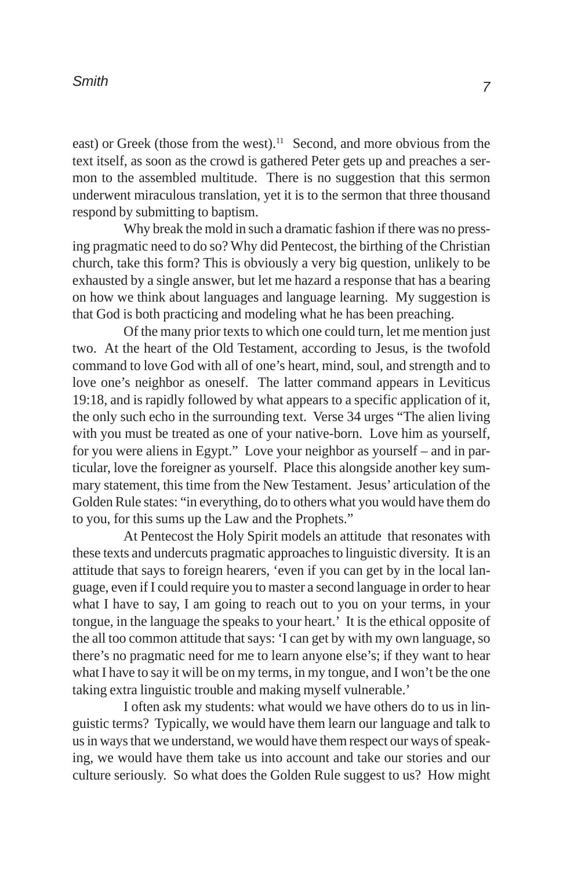east) or Greek (those from the west).<sup>11</sup> Second, and more obvious from the text itself, as soon as the crowd is gathered Peter gets up and preaches a sermon to the assembled multitude. There is no suggestion that this sermon underwent miraculous translation, yet it is to the sermon that three thousand respond by submitting to baptism.

Why break the mold in such a dramatic fashion if there was no pressing pragmatic need to do so? Why did Pentecost, the birthing of the Christian church, take this form? This is obviously a very big question, unlikely to be exhausted by a single answer, but let me hazard a response that has a bearing on how we think about languages and language learning. My suggestion is that God is both practicing and modeling what he has been preaching.

Of the many prior texts to which one could turn, let me mention just two. At the heart of the Old Testament, according to Jesus, is the twofold command to love God with all of one's heart, mind, soul, and strength and to love one's neighbor as oneself. The latter command appears in Leviticus 19:18, and is rapidly followed by what appears to a specific application of it, the only such echo in the surrounding text. Verse 34 urges "The alien living with you must be treated as one of your native-born. Love him as yourself, for you were aliens in Egypt." Love your neighbor as yourself – and in particular, love the foreigner as yourself. Place this alongside another key summary statement, this time from the New Testament. Jesus' articulation of the Golden Rule states: "in everything, do to others what you would have them do to you, for this sums up the Law and the Prophets."

At Pentecost the Holy Spirit models an attitude that resonates with these texts and undercuts pragmatic approaches to linguistic diversity. It is an attitude that says to foreign hearers, 'even if you can get by in the local language, even if I could require you to master a second language in order to hear what I have to say, I am going to reach out to you on your terms, in your tongue, in the language the speaks to your heart.' It is the ethical opposite of the all too common attitude that says: 'I can get by with my own language, so there's no pragmatic need for me to learn anyone else's; if they want to hear what I have to say it will be on my terms, in my tongue, and I won't be the one taking extra linguistic trouble and making myself vulnerable.'

I often ask my students: what would we have others do to us in linguistic terms? Typically, we would have them learn our language and talk to us in ways that we understand, we would have them respect our ways of speaking, we would have them take us into account and take our stories and our culture seriously. So what does the Golden Rule suggest to us? How might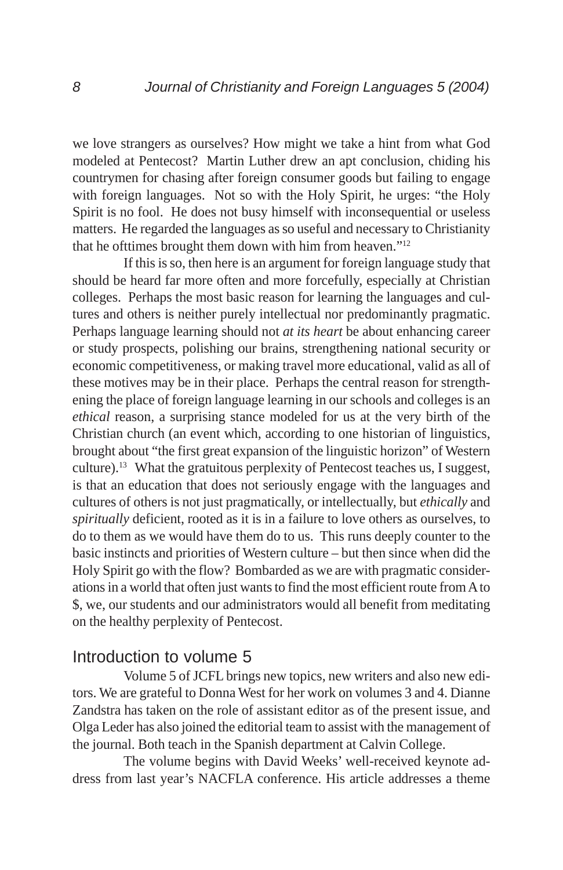we love strangers as ourselves? How might we take a hint from what God modeled at Pentecost? Martin Luther drew an apt conclusion, chiding his countrymen for chasing after foreign consumer goods but failing to engage with foreign languages. Not so with the Holy Spirit, he urges: "the Holy Spirit is no fool. He does not busy himself with inconsequential or useless matters. He regarded the languages as so useful and necessary to Christianity that he ofttimes brought them down with him from heaven."12

If this is so, then here is an argument for foreign language study that should be heard far more often and more forcefully, especially at Christian colleges. Perhaps the most basic reason for learning the languages and cultures and others is neither purely intellectual nor predominantly pragmatic. Perhaps language learning should not *at its heart* be about enhancing career or study prospects, polishing our brains, strengthening national security or economic competitiveness, or making travel more educational, valid as all of these motives may be in their place. Perhaps the central reason for strengthening the place of foreign language learning in our schools and colleges is an *ethical* reason, a surprising stance modeled for us at the very birth of the Christian church (an event which, according to one historian of linguistics, brought about "the first great expansion of the linguistic horizon" of Western culture).13 What the gratuitous perplexity of Pentecost teaches us, I suggest, is that an education that does not seriously engage with the languages and cultures of others is not just pragmatically, or intellectually, but *ethically* and *spiritually* deficient, rooted as it is in a failure to love others as ourselves, to do to them as we would have them do to us. This runs deeply counter to the basic instincts and priorities of Western culture – but then since when did the Holy Spirit go with the flow? Bombarded as we are with pragmatic considerations in a world that often just wants to find the most efficient route from A to \$, we, our students and our administrators would all benefit from meditating on the healthy perplexity of Pentecost.

## Introduction to volume 5

Volume 5 of JCFL brings new topics, new writers and also new editors. We are grateful to Donna West for her work on volumes 3 and 4. Dianne Zandstra has taken on the role of assistant editor as of the present issue, and Olga Leder has also joined the editorial team to assist with the management of the journal. Both teach in the Spanish department at Calvin College.

The volume begins with David Weeks' well-received keynote address from last year's NACFLA conference. His article addresses a theme